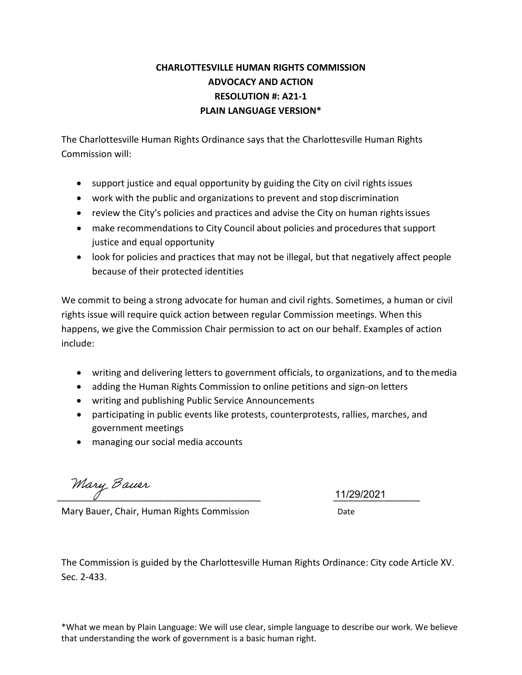#### **CHARLOTTESVILLE HUMAN RIGHTS COMMISSION ADVOCACY AND ACTION RESOLUTION #: A21-1 PLAIN LANGUAGE VERSION\***

The Charlottesville Human Rights Ordinance says that the Charlottesville Human Rights Commission will:

- support justice and equal opportunity by guiding the City on civil rights issues
- work with the public and organizations to prevent and stop discrimination
- review the City's policies and practices and advise the City on human rightsissues
- make recommendations to City Council about policies and procedures that support justice and equal opportunity
- look for policies and practices that may not be illegal, but that negatively affect people because of their protected identities

We commit to being a strong advocate for human and civil rights. Sometimes, a human or civil rights issue will require quick action between regular Commission meetings. When this happens, we give the Commission Chair permission to act on our behalf. Examples of action include:

- writing and delivering letters to government officials, to organizations, and to themedia
- adding the Human Rights Commission to online petitions and sign-on letters
- writing and publishing Public Service Announcements
- participating in public events like protests, counterprotests, rallies, marches, and government meetings
- managing our social media accounts

Mary Bauer

11/29/2021

Mary Bauer, Chair, Human Rights Commission Date

The Commission is guided by the Charlottesville Human Rights Ordinance: City code Article XV. Sec. 2-433.

\*What we mean by Plain Language: We will use clear, simple language to describe our work. We believe that understanding the work of government is a basic human right.